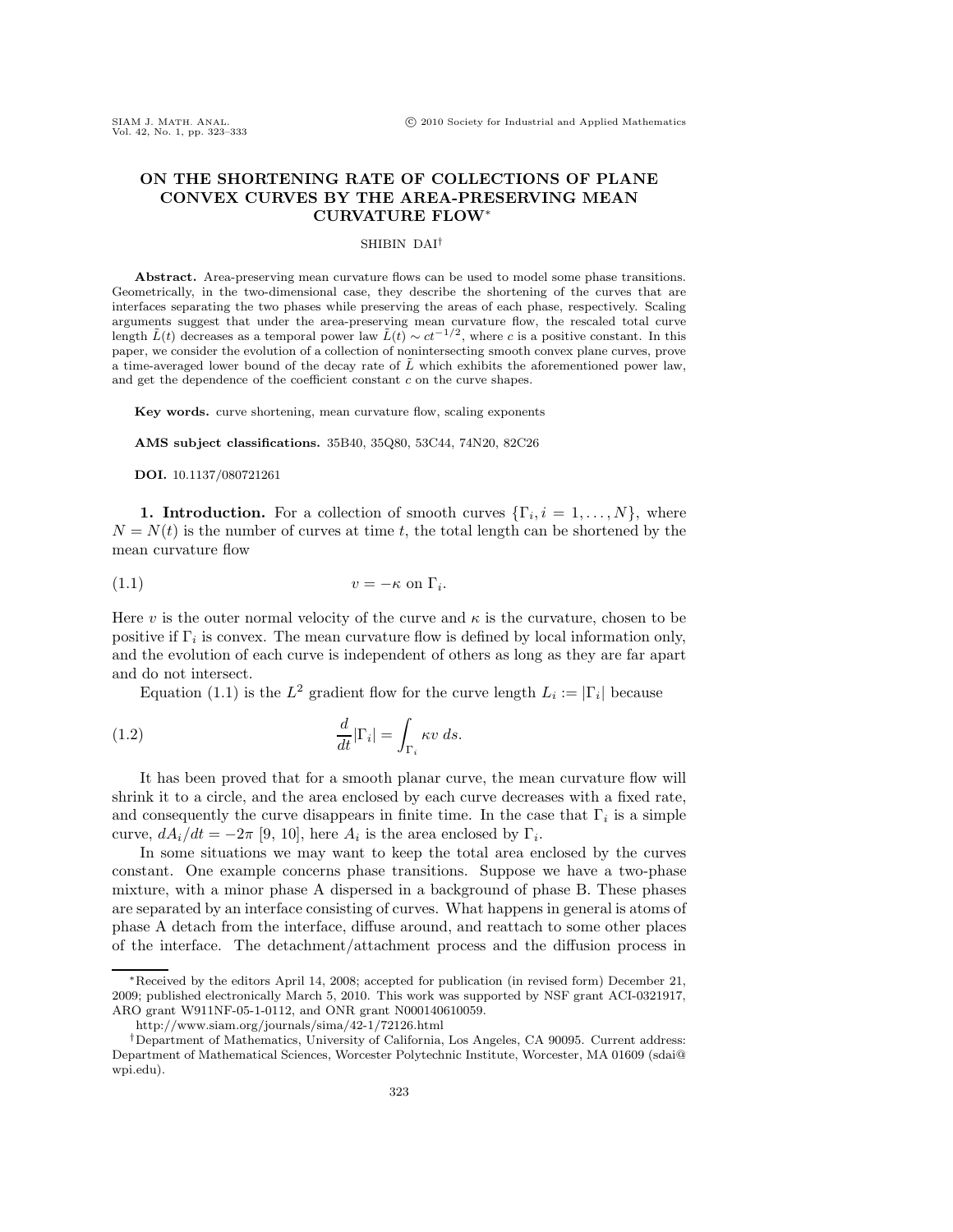# **ON THE SHORTENING RATE OF COLLECTIONS OF PLANE CONVEX CURVES BY THE AREA-PRESERVING MEAN CURVATURE FLOW**∗

# SHIBIN DAI†

Abstract. Area-preserving mean curvature flows can be used to model some phase transitions. Geometrically, in the two-dimensional case, they describe the shortening of the curves that are interfaces separating the two phases while preserving the areas of each phase, respectively. Scaling arguments suggest that under the area-preserving mean curvature flow, the rescaled total curve length  $\tilde{L}(t)$  decreases as a temporal power law  $\tilde{L}(t) \sim ct^{-1/2}$ , where *c* is a positive constant. In this paper, we consider the evolution of a collection of nonintersecting smooth convex plane curves, prove a time-averaged lower bound of the decay rate of  $\tilde{L}$  which exhibits the aforementioned power law, and get the dependence of the coefficient constant *c* on the curve shapes.

Key words. curve shortening, mean curvature flow, scaling exponents

**AMS subject classifications.** 35B40, 35Q80, 53C44, 74N20, 82C26

**DOI.** 10.1137/080721261

**1. Introduction.** For a collection of smooth curves  $\{\Gamma_i, i = 1, \ldots, N\}$ , where  $N = N(t)$  is the number of curves at time t, the total length can be shortened by the mean curvature flow

$$
(1.1) \t\t v = -\kappa \text{ on } \Gamma_i.
$$

Here v is the outer normal velocity of the curve and  $\kappa$  is the curvature, chosen to be positive if  $\Gamma_i$  is convex. The mean curvature flow is defined by local information only, and the evolution of each curve is independent of others as long as they are far apart and do not intersect.

Equation (1.1) is the  $L^2$  gradient flow for the curve length  $L_i := |\Gamma_i|$  because

(1.2) 
$$
\frac{d}{dt}|\Gamma_i| = \int_{\Gamma_i} \kappa v \, ds.
$$

It has been proved that for a smooth planar curve, the mean curvature flow will shrink it to a circle, and the area enclosed by each curve decreases with a fixed rate, and consequently the curve disappears in finite time. In the case that  $\Gamma_i$  is a simple curve,  $dA_i/dt = -2\pi$  [9, 10], here  $A_i$  is the area enclosed by  $\Gamma_i$ .

In some situations we may want to keep the total area enclosed by the curves constant. One example concerns phase transitions. Suppose we have a two-phase mixture, with a minor phase A dispersed in a background of phase B. These phases are separated by an interface consisting of curves. What happens in general is atoms of phase A detach from the interface, diffuse around, and reattach to some other places of the interface. The detachment/attachment process and the diffusion process in

<sup>∗</sup>Received by the editors April 14, 2008; accepted for publication (in revised form) December 21, 2009; published electronically March 5, 2010. This work was supported by NSF grant ACI-0321917, ARO grant W911NF-05-1-0112, and ONR grant N000140610059.

http://www.siam.org/journals/sima/42-1/72126.html

<sup>†</sup>Department of Mathematics, University of California, Los Angeles, CA 90095. Current address: Department of Mathematical Sciences, Worcester Polytechnic Institute, Worcester, MA 01609 (sdai@ wpi.edu).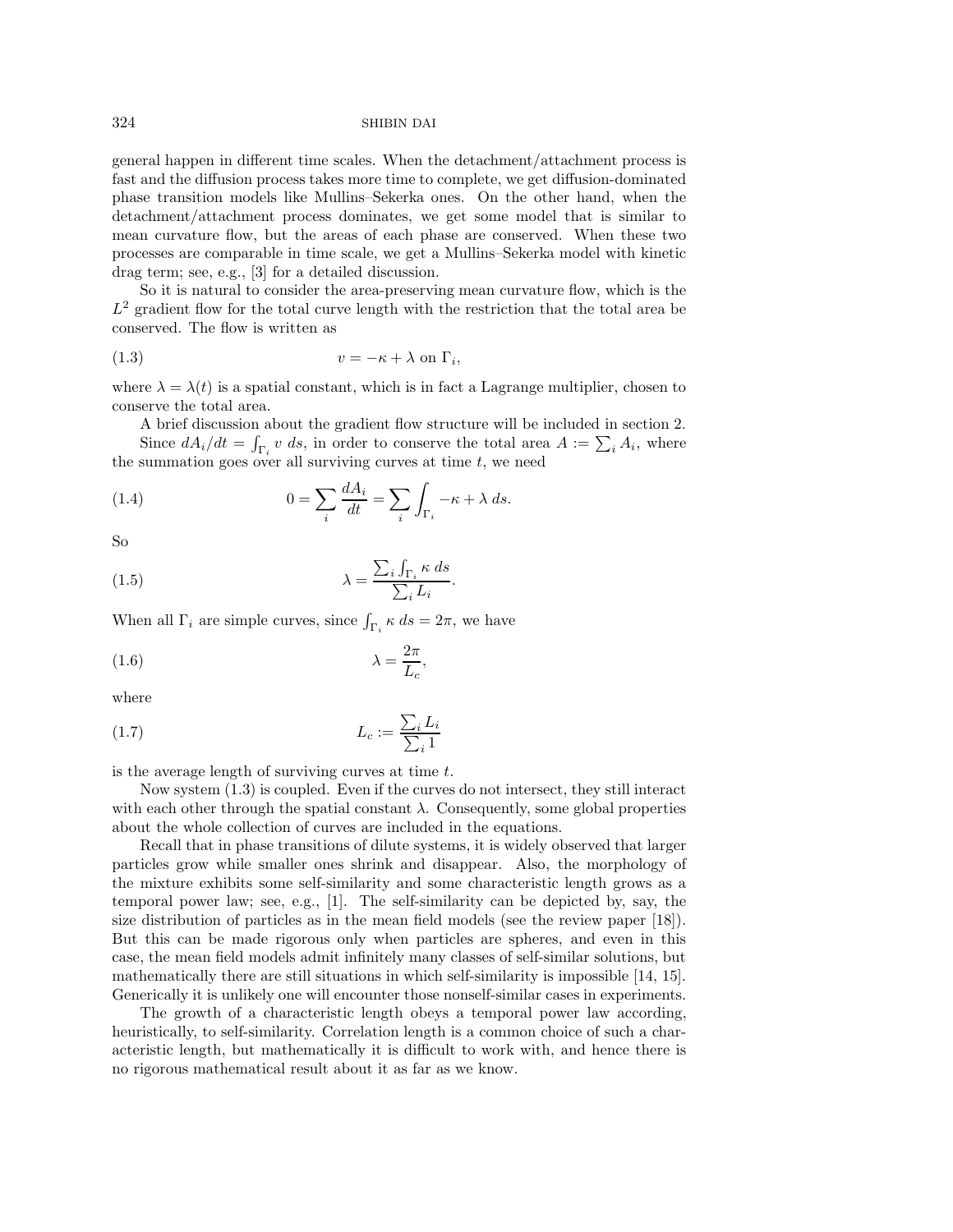general happen in different time scales. When the detachment/attachment process is fast and the diffusion process takes more time to complete, we get diffusion-dominated phase transition models like Mullins–Sekerka ones. On the other hand, when the detachment/attachment process dominates, we get some model that is similar to mean curvature flow, but the areas of each phase are conserved. When these two processes are comparable in time scale, we get a Mullins–Sekerka model with kinetic drag term; see, e.g., [3] for a detailed discussion.

So it is natural to consider the area-preserving mean curvature flow, which is the  $L^2$  gradient flow for the total curve length with the restriction that the total area be conserved. The flow is written as

$$
(1.3) \t\t v = -\kappa + \lambda \text{ on } \Gamma_i,
$$

where  $\lambda = \lambda(t)$  is a spatial constant, which is in fact a Lagrange multiplier, chosen to conserve the total area.

A brief discussion about the gradient flow structure will be included in section 2. Since  $dA_i/dt = \int_{\Gamma_i} v \, ds$ , in order to conserve the total area  $A := \sum_i A_i$ , where the summation goes over all surviving curves at time  $t$ , we need

(1.4) 
$$
0 = \sum_{i} \frac{dA_i}{dt} = \sum_{i} \int_{\Gamma_i} -\kappa + \lambda ds.
$$

So

(1.5) 
$$
\lambda = \frac{\sum_{i} \int_{\Gamma_{i}} \kappa \, ds}{\sum_{i} L_{i}}.
$$

When all  $\Gamma_i$  are simple curves, since  $\int_{\Gamma_i} \kappa ds = 2\pi$ , we have

$$
\lambda = \frac{2\pi}{L_c},
$$

where

$$
(1.7) \t\t\t L_c := \frac{\sum_i L_i}{\sum_i 1}
$$

is the average length of surviving curves at time  $t$ .

Now system (1.3) is coupled. Even if the curves do not intersect, they still interact with each other through the spatial constant  $\lambda$ . Consequently, some global properties about the whole collection of curves are included in the equations.

Recall that in phase transitions of dilute systems, it is widely observed that larger particles grow while smaller ones shrink and disappear. Also, the morphology of the mixture exhibits some self-similarity and some characteristic length grows as a temporal power law; see, e.g., [1]. The self-similarity can be depicted by, say, the size distribution of particles as in the mean field models (see the review paper [18]). But this can be made rigorous only when particles are spheres, and even in this case, the mean field models admit infinitely many classes of self-similar solutions, but mathematically there are still situations in which self-similarity is impossible [14, 15]. Generically it is unlikely one will encounter those nonself-similar cases in experiments.

The growth of a characteristic length obeys a temporal power law according, heuristically, to self-similarity. Correlation length is a common choice of such a characteristic length, but mathematically it is difficult to work with, and hence there is no rigorous mathematical result about it as far as we know.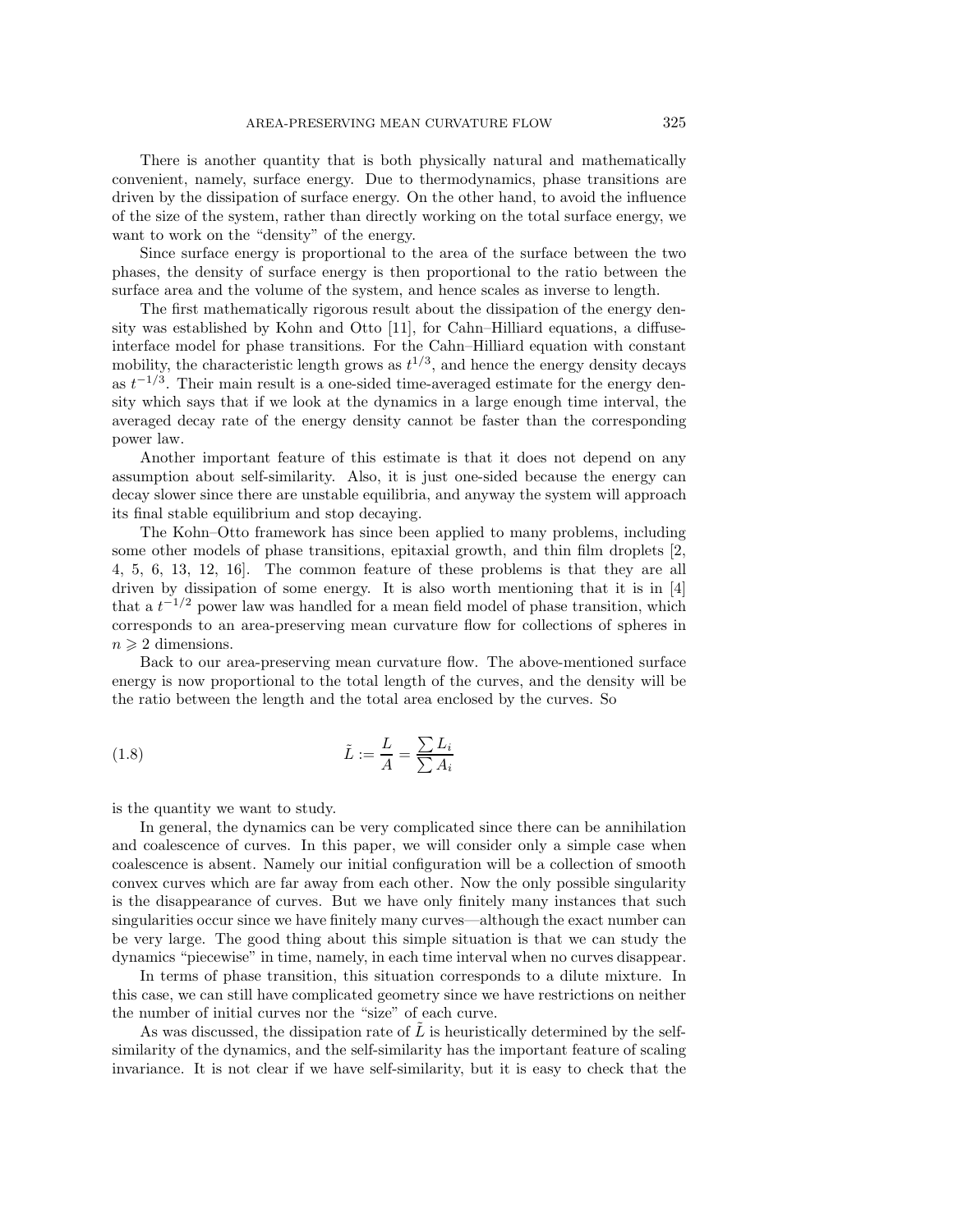There is another quantity that is both physically natural and mathematically convenient, namely, surface energy. Due to thermodynamics, phase transitions are driven by the dissipation of surface energy. On the other hand, to avoid the influence of the size of the system, rather than directly working on the total surface energy, we want to work on the "density" of the energy.

Since surface energy is proportional to the area of the surface between the two phases, the density of surface energy is then proportional to the ratio between the surface area and the volume of the system, and hence scales as inverse to length.

The first mathematically rigorous result about the dissipation of the energy density was established by Kohn and Otto [11], for Cahn–Hilliard equations, a diffuseinterface model for phase transitions. For the Cahn–Hilliard equation with constant mobility, the characteristic length grows as  $t^{1/3}$ , and hence the energy density decays as  $t^{-1/3}$ . Their main result is a one-sided time-averaged estimate for the energy density which says that if we look at the dynamics in a large enough time interval, the averaged decay rate of the energy density cannot be faster than the corresponding power law.

Another important feature of this estimate is that it does not depend on any assumption about self-similarity. Also, it is just one-sided because the energy can decay slower since there are unstable equilibria, and anyway the system will approach its final stable equilibrium and stop decaying.

The Kohn–Otto framework has since been applied to many problems, including some other models of phase transitions, epitaxial growth, and thin film droplets [2, 4, 5, 6, 13, 12, 16]. The common feature of these problems is that they are all driven by dissipation of some energy. It is also worth mentioning that it is in [4] that a  $t^{-1/2}$  power law was handled for a mean field model of phase transition, which corresponds to an area-preserving mean curvature flow for collections of spheres in  $n \geqslant 2$  dimensions.

Back to our area-preserving mean curvature flow. The above-mentioned surface energy is now proportional to the total length of the curves, and the density will be the ratio between the length and the total area enclosed by the curves. So

(1.8) 
$$
\tilde{L} := \frac{L}{A} = \frac{\sum L_i}{\sum A_i}
$$

is the quantity we want to study.

In general, the dynamics can be very complicated since there can be annihilation and coalescence of curves. In this paper, we will consider only a simple case when coalescence is absent. Namely our initial configuration will be a collection of smooth convex curves which are far away from each other. Now the only possible singularity is the disappearance of curves. But we have only finitely many instances that such singularities occur since we have finitely many curves—although the exact number can be very large. The good thing about this simple situation is that we can study the dynamics "piecewise" in time, namely, in each time interval when no curves disappear.

In terms of phase transition, this situation corresponds to a dilute mixture. In this case, we can still have complicated geometry since we have restrictions on neither the number of initial curves nor the "size" of each curve.

As was discussed, the dissipation rate of  $L$  is heuristically determined by the selfsimilarity of the dynamics, and the self-similarity has the important feature of scaling invariance. It is not clear if we have self-similarity, but it is easy to check that the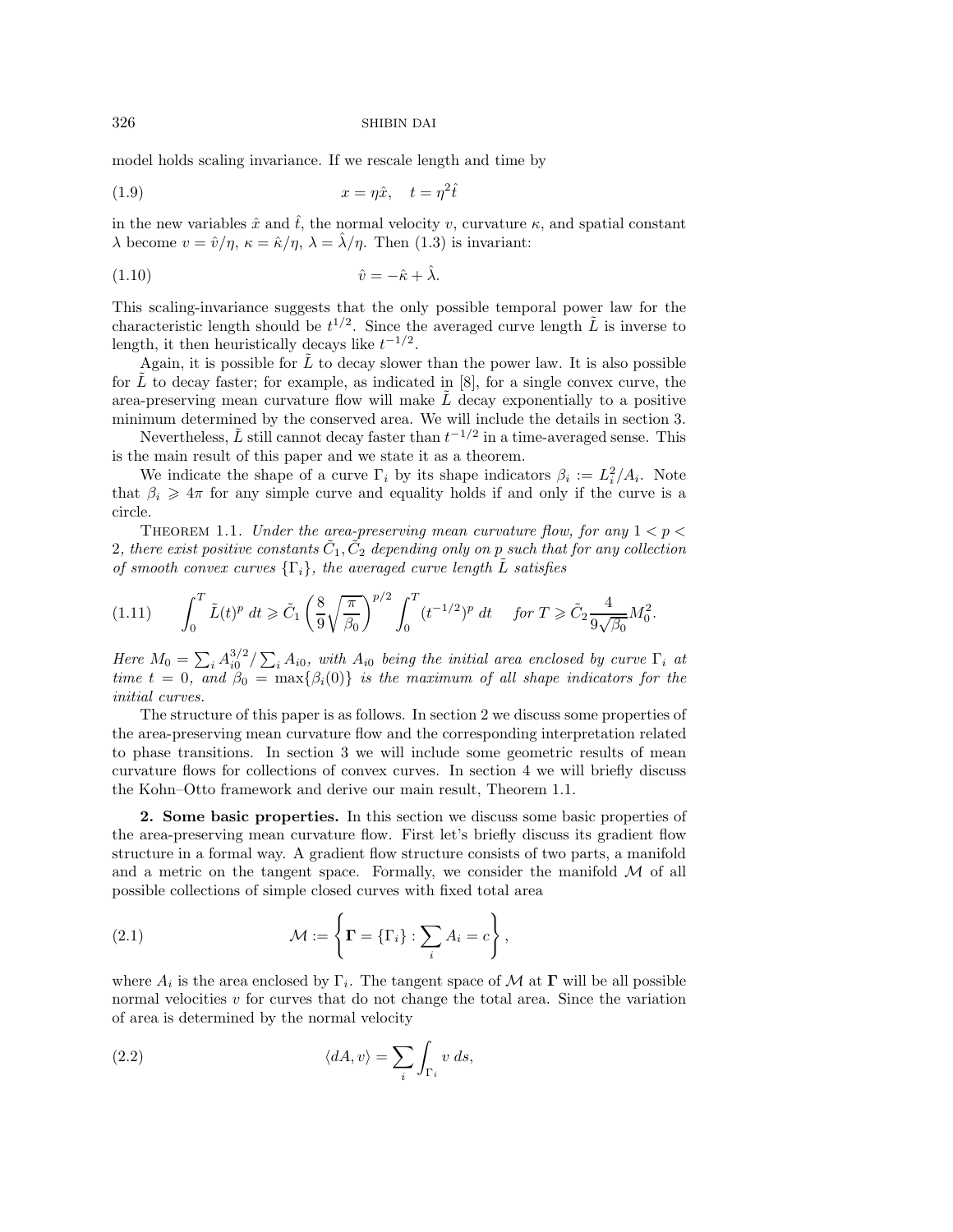model holds scaling invariance. If we rescale length and time by

$$
(1.9) \t\t x = \eta \hat{x}, \quad t = \eta^2 \hat{t}
$$

in the new variables  $\hat{x}$  and  $\hat{t}$ , the normal velocity v, curvature  $\kappa$ , and spatial constant  $\lambda$  become  $v = \hat{v}/\eta$ ,  $\kappa = \hat{\kappa}/\eta$ ,  $\lambda = \hat{\lambda}/\eta$ . Then (1.3) is invariant:

$$
(1.10) \t\t\t \hat{v} = -\hat{\kappa} + \hat{\lambda}.
$$

This scaling-invariance suggests that the only possible temporal power law for the characteristic length should be  $t^{1/2}$ . Since the averaged curve length  $\tilde{L}$  is inverse to length, it then heuristically decays like  $t^{-1/2}$ .

Again, it is possible for  $\tilde{L}$  to decay slower than the power law. It is also possible for L to decay faster; for example, as indicated in  $[8]$ , for a single convex curve, the area-preserving mean curvature flow will make  $\tilde{L}$  decay exponentially to a positive minimum determined by the conserved area. We will include the details in section 3.

Nevertheless,  $\tilde{L}$  still cannot decay faster than  $t^{-1/2}$  in a time-averaged sense. This is the main result of this paper and we state it as a theorem.

We indicate the shape of a curve  $\Gamma_i$  by its shape indicators  $\beta_i := L_i^2/A_i$ . Note that  $\beta_i \geq 4\pi$  for any simple curve and equality holds if and only if the curve is a circle.

THEOREM 1.1. *Under the area-preserving mean curvature flow, for any*  $1 < p <$ 2, there exist positive constants  $C_1, C_2$  depending only on p such that for any collection *of smooth convex curves*  $\{\Gamma_i\}$ *, the averaged curve length* L *satisfies* 

$$
(1.11) \qquad \int_0^T \tilde{L}(t)^p \, dt \geq \tilde{C}_1 \left( \frac{8}{9} \sqrt{\frac{\pi}{\beta_0}} \right)^{p/2} \int_0^T (t^{-1/2})^p \, dt \quad \text{for } T \geq \tilde{C}_2 \frac{4}{9\sqrt{\beta_0}} M_0^2.
$$

*Here*  $M_0 = \sum_i A_{i0}^{3/2} / \sum_i A_{i0}$ , with  $A_{i0}$  being the initial area enclosed by curve  $\Gamma_i$  at *time*  $t = 0$ *, and*  $\beta_0 = \max\{\beta_i(0)\}\$ *is the maximum of all shape indicators for the initial curves.*

The structure of this paper is as follows. In section 2 we discuss some properties of the area-preserving mean curvature flow and the corresponding interpretation related to phase transitions. In section 3 we will include some geometric results of mean curvature flows for collections of convex curves. In section 4 we will briefly discuss the Kohn–Otto framework and derive our main result, Theorem 1.1.

**2. Some basic properties.** In this section we discuss some basic properties of the area-preserving mean curvature flow. First let's briefly discuss its gradient flow structure in a formal way. A gradient flow structure consists of two parts, a manifold and a metric on the tangent space. Formally, we consider the manifold  $M$  of all possible collections of simple closed curves with fixed total area

(2.1) 
$$
\mathcal{M} := \left\{ \mathbf{\Gamma} = \{\Gamma_i\} : \sum_i A_i = c \right\},\
$$

where  $A_i$  is the area enclosed by  $\Gamma_i$ . The tangent space of M at  $\Gamma$  will be all possible normal velocities  $v$  for curves that do not change the total area. Since the variation of area is determined by the normal velocity

(2.2) 
$$
\langle dA, v \rangle = \sum_{i} \int_{\Gamma_i} v \, ds,
$$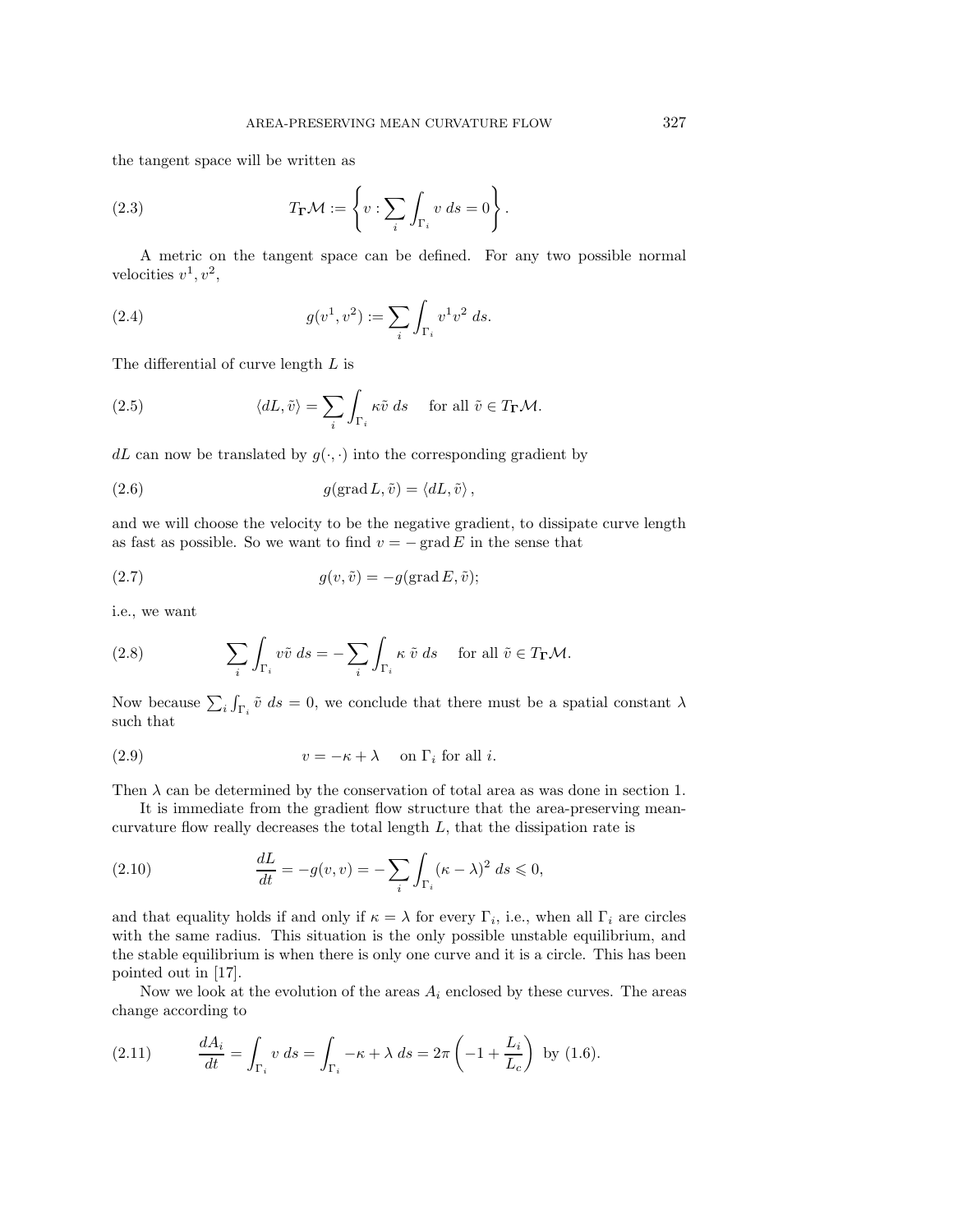the tangent space will be written as

(2.3) 
$$
T_{\mathbf{\Gamma}}\mathcal{M} := \left\{ v : \sum_{i} \int_{\Gamma_i} v \, ds = 0 \right\}.
$$

A metric on the tangent space can be defined. For any two possible normal velocities  $v^1, v^2$ ,

(2.4) 
$$
g(v^1, v^2) := \sum_i \int_{\Gamma_i} v^1 v^2 ds.
$$

The differential of curve length L is

(2.5) 
$$
\langle dL, \tilde{v} \rangle = \sum_{i} \int_{\Gamma_i} \kappa \tilde{v} \, ds \quad \text{for all } \tilde{v} \in T_{\Gamma} \mathcal{M}.
$$

dL can now be translated by  $g(\cdot, \cdot)$  into the corresponding gradient by

(2.6) 
$$
g(\text{grad } L, \tilde{v}) = \langle dL, \tilde{v} \rangle,
$$

and we will choose the velocity to be the negative gradient, to dissipate curve length as fast as possible. So we want to find  $v = -\text{grad } E$  in the sense that

(2.7) 
$$
g(v, \tilde{v}) = -g(\text{grad } E, \tilde{v});
$$

i.e., we want

(2.8) 
$$
\sum_{i} \int_{\Gamma_i} v \tilde{v} \, ds = - \sum_{i} \int_{\Gamma_i} \kappa \tilde{v} \, ds \quad \text{for all } \tilde{v} \in T_{\Gamma} \mathcal{M}.
$$

Now because  $\sum_i \int_{\Gamma_i} \tilde{v} \, ds = 0$ , we conclude that there must be a spatial constant  $\lambda$ such that

(2.9) 
$$
v = -\kappa + \lambda \quad \text{on } \Gamma_i \text{ for all } i.
$$

Then  $\lambda$  can be determined by the conservation of total area as was done in section 1.

It is immediate from the gradient flow structure that the area-preserving meancurvature flow really decreases the total length  $L$ , that the dissipation rate is

(2.10) 
$$
\frac{dL}{dt} = -g(v, v) = -\sum_{i} \int_{\Gamma_i} (\kappa - \lambda)^2 \ ds \leq 0,
$$

and that equality holds if and only if  $\kappa = \lambda$  for every  $\Gamma_i$ , i.e., when all  $\Gamma_i$  are circles with the same radius. This situation is the only possible unstable equilibrium, and the stable equilibrium is when there is only one curve and it is a circle. This has been pointed out in [17].

Now we look at the evolution of the areas  $A_i$  enclosed by these curves. The areas change according to

(2.11) 
$$
\frac{dA_i}{dt} = \int_{\Gamma_i} v \, ds = \int_{\Gamma_i} -\kappa + \lambda \, ds = 2\pi \left( -1 + \frac{L_i}{L_c} \right) \text{ by (1.6)}.
$$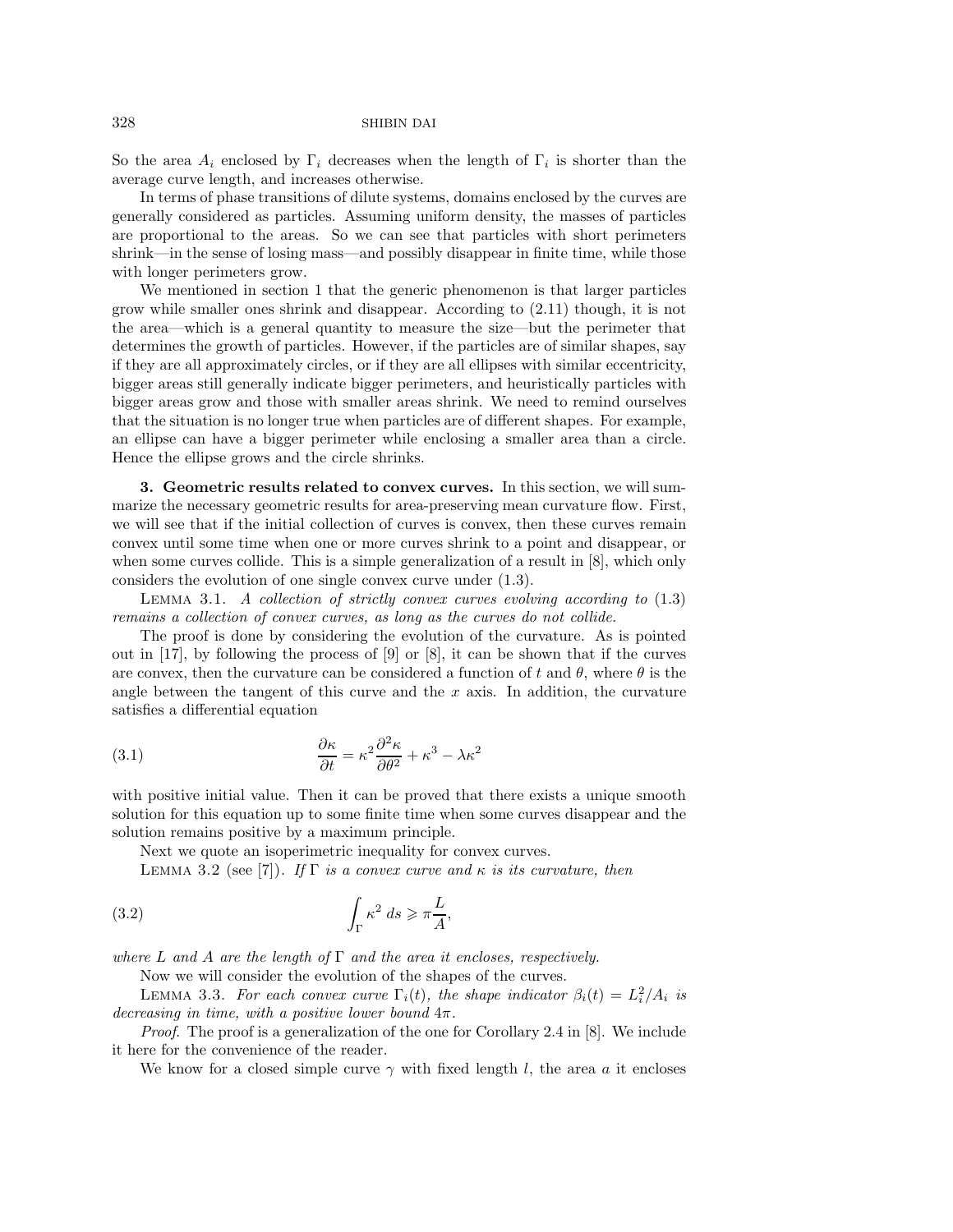So the area  $A_i$  enclosed by  $\Gamma_i$  decreases when the length of  $\Gamma_i$  is shorter than the average curve length, and increases otherwise.

In terms of phase transitions of dilute systems, domains enclosed by the curves are generally considered as particles. Assuming uniform density, the masses of particles are proportional to the areas. So we can see that particles with short perimeters shrink—in the sense of losing mass—and possibly disappear in finite time, while those with longer perimeters grow.

We mentioned in section 1 that the generic phenomenon is that larger particles grow while smaller ones shrink and disappear. According to (2.11) though, it is not the area—which is a general quantity to measure the size—but the perimeter that determines the growth of particles. However, if the particles are of similar shapes, say if they are all approximately circles, or if they are all ellipses with similar eccentricity, bigger areas still generally indicate bigger perimeters, and heuristically particles with bigger areas grow and those with smaller areas shrink. We need to remind ourselves that the situation is no longer true when particles are of different shapes. For example, an ellipse can have a bigger perimeter while enclosing a smaller area than a circle. Hence the ellipse grows and the circle shrinks.

**3. Geometric results related to convex curves.** In this section, we will summarize the necessary geometric results for area-preserving mean curvature flow. First, we will see that if the initial collection of curves is convex, then these curves remain convex until some time when one or more curves shrink to a point and disappear, or when some curves collide. This is a simple generalization of a result in [8], which only considers the evolution of one single convex curve under (1.3).

Lemma 3.1. *A collection of strictly convex curves evolving according to* (1.3) *remains a collection of convex curves, as long as the curves do not collide.*

The proof is done by considering the evolution of the curvature. As is pointed out in [17], by following the process of [9] or [8], it can be shown that if the curves are convex, then the curvature can be considered a function of t and  $\theta$ , where  $\theta$  is the angle between the tangent of this curve and the  $x$  axis. In addition, the curvature satisfies a differential equation

(3.1) 
$$
\frac{\partial \kappa}{\partial t} = \kappa^2 \frac{\partial^2 \kappa}{\partial \theta^2} + \kappa^3 - \lambda \kappa^2
$$

with positive initial value. Then it can be proved that there exists a unique smooth solution for this equation up to some finite time when some curves disappear and the solution remains positive by a maximum principle.

Next we quote an isoperimetric inequality for convex curves.

LEMMA 3.2 (see [7]). *If*  $\Gamma$  *is a convex curve and*  $\kappa$  *is its curvature, then* 

(3.2) 
$$
\int_{\Gamma} \kappa^2 ds \geqslant \pi \frac{L}{A},
$$

*where* L *and* A *are the length of* Γ *and the area it encloses, respectively.*

Now we will consider the evolution of the shapes of the curves.

LEMMA 3.3. *For each convex curve*  $\Gamma_i(t)$ *, the shape indicator*  $\beta_i(t) = L_i^2/A_i$  *is decreasing in time, with a positive lower bound* 4π*.*

*Proof.* The proof is a generalization of the one for Corollary 2.4 in [8]. We include it here for the convenience of the reader.

We know for a closed simple curve  $\gamma$  with fixed length l, the area a it encloses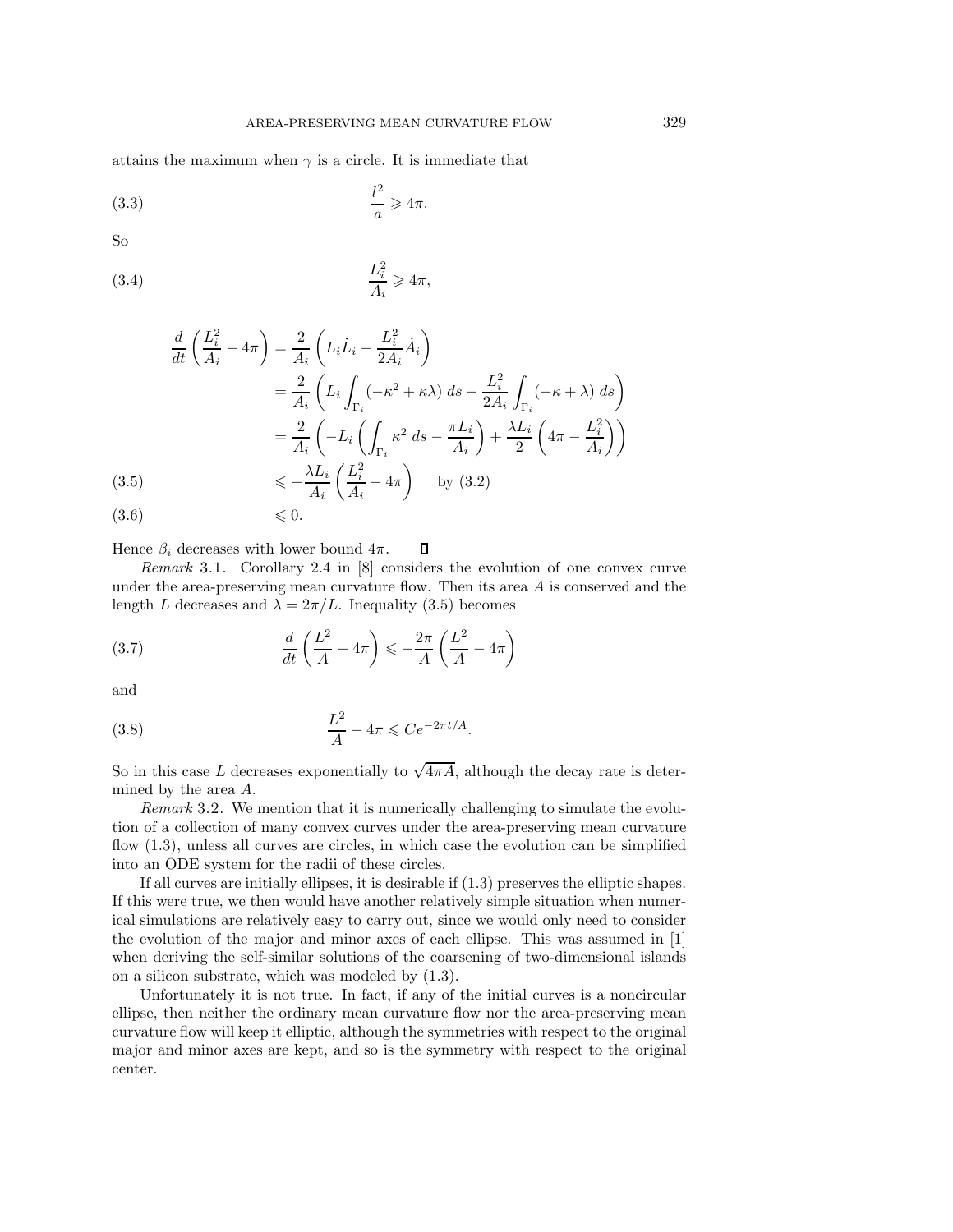attains the maximum when  $\gamma$  is a circle. It is immediate that

(3.3) <sup>l</sup> 2 a -4π.

So

(3.4) 
$$
\frac{L_i^2}{A_i} \geqslant 4\pi,
$$

$$
\frac{d}{dt}\left(\frac{L_i^2}{A_i} - 4\pi\right) = \frac{2}{A_i}\left(L_i\dot{L}_i - \frac{L_i^2}{2A_i}\dot{A}_i\right)
$$
\n
$$
= \frac{2}{A_i}\left(L_i\int_{\Gamma_i}(-\kappa^2 + \kappa\lambda)\ ds - \frac{L_i^2}{2A_i}\int_{\Gamma_i}(-\kappa + \lambda)\ ds\right)
$$
\n
$$
= \frac{2}{A_i}\left(-L_i\left(\int_{\Gamma_i} \kappa^2 \ ds - \frac{\pi L_i}{A_i}\right) + \frac{\lambda L_i}{2}\left(4\pi - \frac{L_i^2}{A_i}\right)\right)
$$
\n(3.5)\n
$$
\leq -\frac{\lambda L_i}{A_i}\left(\frac{L_i^2}{A_i} - 4\pi\right) \quad \text{by (3.2)}
$$

 $(3.6)$   $\leqslant 0.$ 

Hence  $\beta_i$  decreases with lower bound  $4\pi$ .  $\Box$ 

*Remark* 3.1. Corollary 2.4 in [8] considers the evolution of one convex curve under the area-preserving mean curvature flow. Then its area  $A$  is conserved and the length L decreases and  $\lambda = 2\pi/L$ . Inequality (3.5) becomes

(3.7) 
$$
\frac{d}{dt}\left(\frac{L^2}{A} - 4\pi\right) \leqslant -\frac{2\pi}{A}\left(\frac{L^2}{A} - 4\pi\right)
$$

and

$$
\frac{L^2}{A} - 4\pi \leqslant Ce^{-2\pi t/A}.
$$

So in this case L decreases exponentially to  $\sqrt{4\pi A}$ , although the decay rate is determined by the area A.

*Remark* 3.2. We mention that it is numerically challenging to simulate the evolution of a collection of many convex curves under the area-preserving mean curvature flow (1.3), unless all curves are circles, in which case the evolution can be simplified into an ODE system for the radii of these circles.

If all curves are initially ellipses, it is desirable if (1.3) preserves the elliptic shapes. If this were true, we then would have another relatively simple situation when numerical simulations are relatively easy to carry out, since we would only need to consider the evolution of the major and minor axes of each ellipse. This was assumed in [1] when deriving the self-similar solutions of the coarsening of two-dimensional islands on a silicon substrate, which was modeled by (1.3).

Unfortunately it is not true. In fact, if any of the initial curves is a noncircular ellipse, then neither the ordinary mean curvature flow nor the area-preserving mean curvature flow will keep it elliptic, although the symmetries with respect to the original major and minor axes are kept, and so is the symmetry with respect to the original center.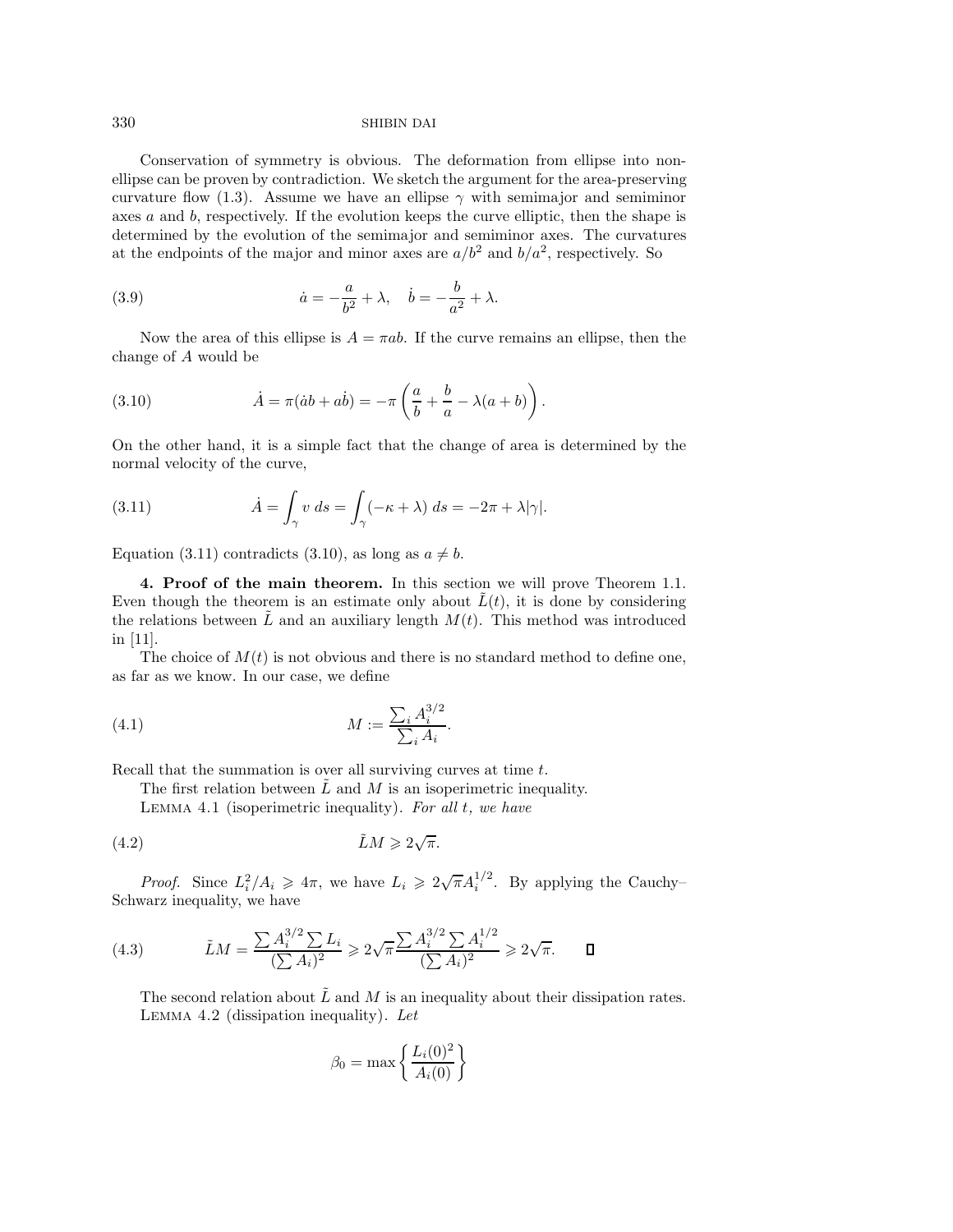Conservation of symmetry is obvious. The deformation from ellipse into nonellipse can be proven by contradiction. We sketch the argument for the area-preserving curvature flow (1.3). Assume we have an ellipse  $\gamma$  with semimajor and semiminor axes  $a$  and  $b$ , respectively. If the evolution keeps the curve elliptic, then the shape is determined by the evolution of the semimajor and semiminor axes. The curvatures at the endpoints of the major and minor axes are  $a/b^2$  and  $b/a^2$ , respectively. So

(3.9) 
$$
\dot{a} = -\frac{a}{b^2} + \lambda, \quad \dot{b} = -\frac{b}{a^2} + \lambda.
$$

Now the area of this ellipse is  $A = \pi ab$ . If the curve remains an ellipse, then the change of A would be

(3.10) 
$$
\dot{A} = \pi(\dot{a}b + a\dot{b}) = -\pi\left(\frac{a}{b} + \frac{b}{a} - \lambda(a+b)\right).
$$

On the other hand, it is a simple fact that the change of area is determined by the normal velocity of the curve,

(3.11) 
$$
\dot{A} = \int_{\gamma} v \, ds = \int_{\gamma} (-\kappa + \lambda) \, ds = -2\pi + \lambda |\gamma|.
$$

Equation (3.11) contradicts (3.10), as long as  $a \neq b$ .

**4. Proof of the main theorem.** In this section we will prove Theorem 1.1. Even though the theorem is an estimate only about  $\hat{L}(t)$ , it is done by considering the relations between  $\tilde{L}$  and an auxiliary length  $M(t)$ . This method was introduced in [11].

The choice of  $M(t)$  is not obvious and there is no standard method to define one, as far as we know. In our case, we define

(4.1) 
$$
M := \frac{\sum_{i} A_i^{3/2}}{\sum_{i} A_i}.
$$

Recall that the summation is over all surviving curves at time t.

The first relation between  $\tilde{L}$  and  $M$  is an isoperimetric inequality.

Lemma 4.1 (isoperimetric inequality). *For all* t*, we have*

(4.2) LM˜ - 2 √π.

*Proof.* Since  $L_i^2/A_i \geq 4\pi$ , we have  $L_i \geq 2\sqrt{\pi}A_i^{1/2}$ . By applying the Cauchy-Schwarz inequality, we have

(4.3) 
$$
\tilde{L}M = \frac{\sum A_i^{3/2} \sum L_i}{(\sum A_i)^2} \ge 2\sqrt{\pi} \frac{\sum A_i^{3/2} \sum A_i^{1/2}}{(\sum A_i)^2} \ge 2\sqrt{\pi}.\quad \Box
$$

The second relation about  $\tilde{L}$  and M is an inequality about their dissipation rates. Lemma 4.2 (dissipation inequality). *Let*

$$
\beta_0 = \max\left\{\frac{L_i(0)^2}{A_i(0)}\right\}
$$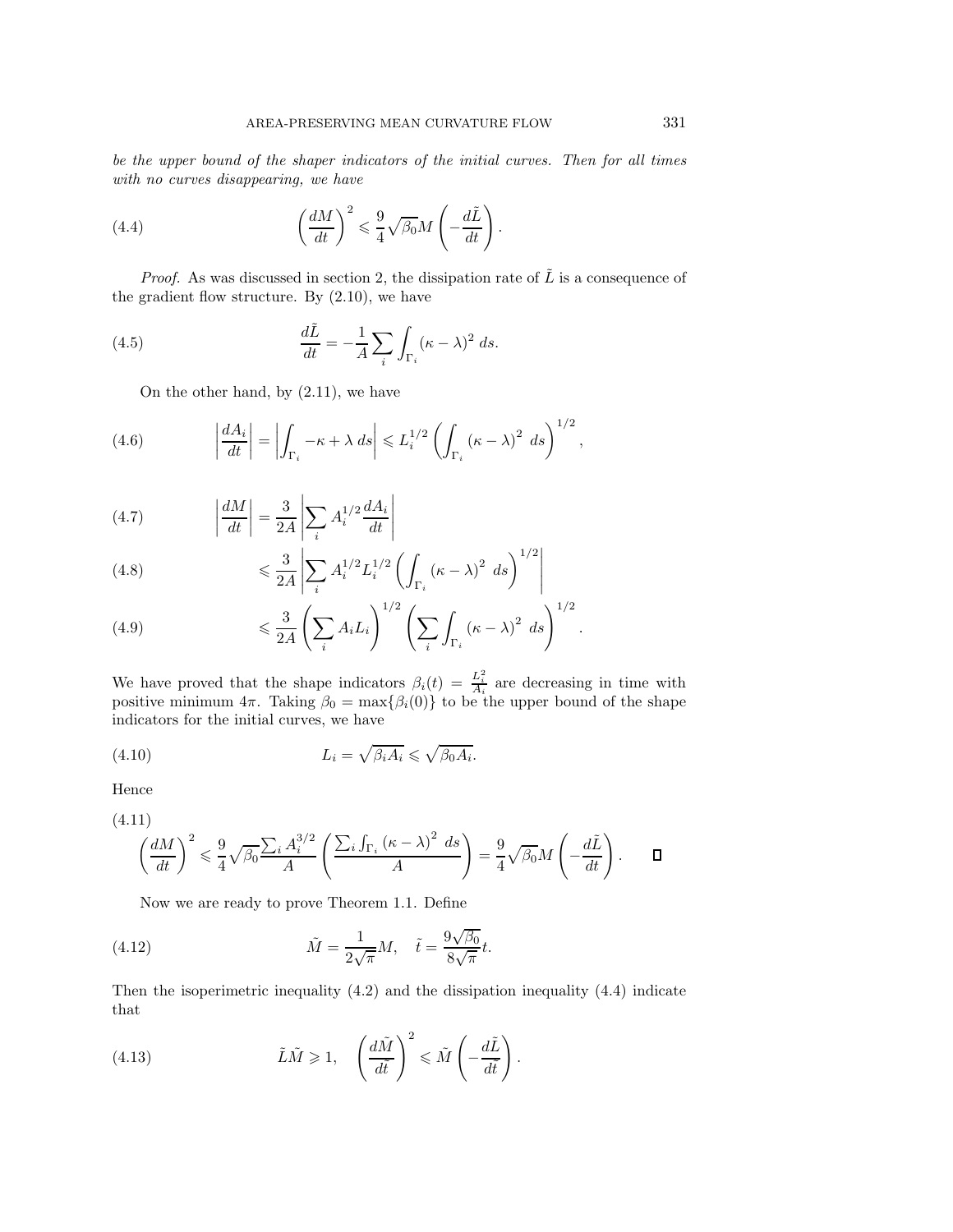*be the upper bound of the shaper indicators of the initial curves. Then for all times with no curves disappearing, we have*

(4.4) 
$$
\left(\frac{dM}{dt}\right)^2 \leq \frac{9}{4}\sqrt{\beta_0}M\left(-\frac{d\tilde{L}}{dt}\right).
$$

*Proof.* As was discussed in section 2, the dissipation rate of  $\tilde{L}$  is a consequence of the gradient flow structure. By (2.10), we have

(4.5) 
$$
\frac{d\tilde{L}}{dt} = -\frac{1}{A} \sum_{i} \int_{\Gamma_i} (\kappa - \lambda)^2 ds.
$$

On the other hand, by (2.11), we have

(4.6) 
$$
\left|\frac{dA_i}{dt}\right| = \left|\int_{\Gamma_i} -\kappa + \lambda \, ds\right| \leq L_i^{1/2} \left(\int_{\Gamma_i} (\kappa - \lambda)^2 \, ds\right)^{1/2},
$$

(4.7) 
$$
\left| \frac{dM}{dt} \right| = \frac{3}{2A} \left| \sum_{i} A_i^{1/2} \frac{dA_i}{dt} \right|
$$

(4.8) 
$$
\leq \frac{3}{2A} \left| \sum_{i} A_i^{1/2} L_i^{1/2} \left( \int_{\Gamma_i} (\kappa - \lambda)^2 \ ds \right)^{1/2} \right|
$$

(4.9) 
$$
\leq \frac{3}{2A} \left( \sum_i A_i L_i \right)^{1/2} \left( \sum_i \int_{\Gamma_i} (\kappa - \lambda)^2 \ ds \right)^{1/2}.
$$

We have proved that the shape indicators  $\beta_i(t) = \frac{L_i^2}{A_i}$  are decreasing in time with positive minimum  $4\pi$ . Taking  $\beta_0 = \max{\{\beta_i(0)\}}$  to be the upper bound of the shape indicators for the initial curves, we have

(4.10) 
$$
L_i = \sqrt{\beta_i A_i} \leqslant \sqrt{\beta_0 A_i}.
$$

Hence

$$
(4.11)
$$

$$
\left(\frac{dM}{dt}\right)^2 \leq \frac{9}{4}\sqrt{\beta_0} \frac{\sum_i A_i^{3/2}}{A} \left(\frac{\sum_i \int_{\Gamma_i} (\kappa - \lambda)^2 ds}{A}\right) = \frac{9}{4}\sqrt{\beta_0} M \left(-\frac{d\tilde{L}}{dt}\right).
$$

Now we are ready to prove Theorem 1.1. Define

(4.12) 
$$
\tilde{M} = \frac{1}{2\sqrt{\pi}}M, \quad \tilde{t} = \frac{9\sqrt{\beta_0}}{8\sqrt{\pi}}t.
$$

Then the isoperimetric inequality (4.2) and the dissipation inequality (4.4) indicate that

(4.13) 
$$
\tilde{L}\tilde{M} \ge 1, \quad \left(\frac{d\tilde{M}}{d\tilde{t}}\right)^2 \le \tilde{M}\left(-\frac{d\tilde{L}}{d\tilde{t}}\right).
$$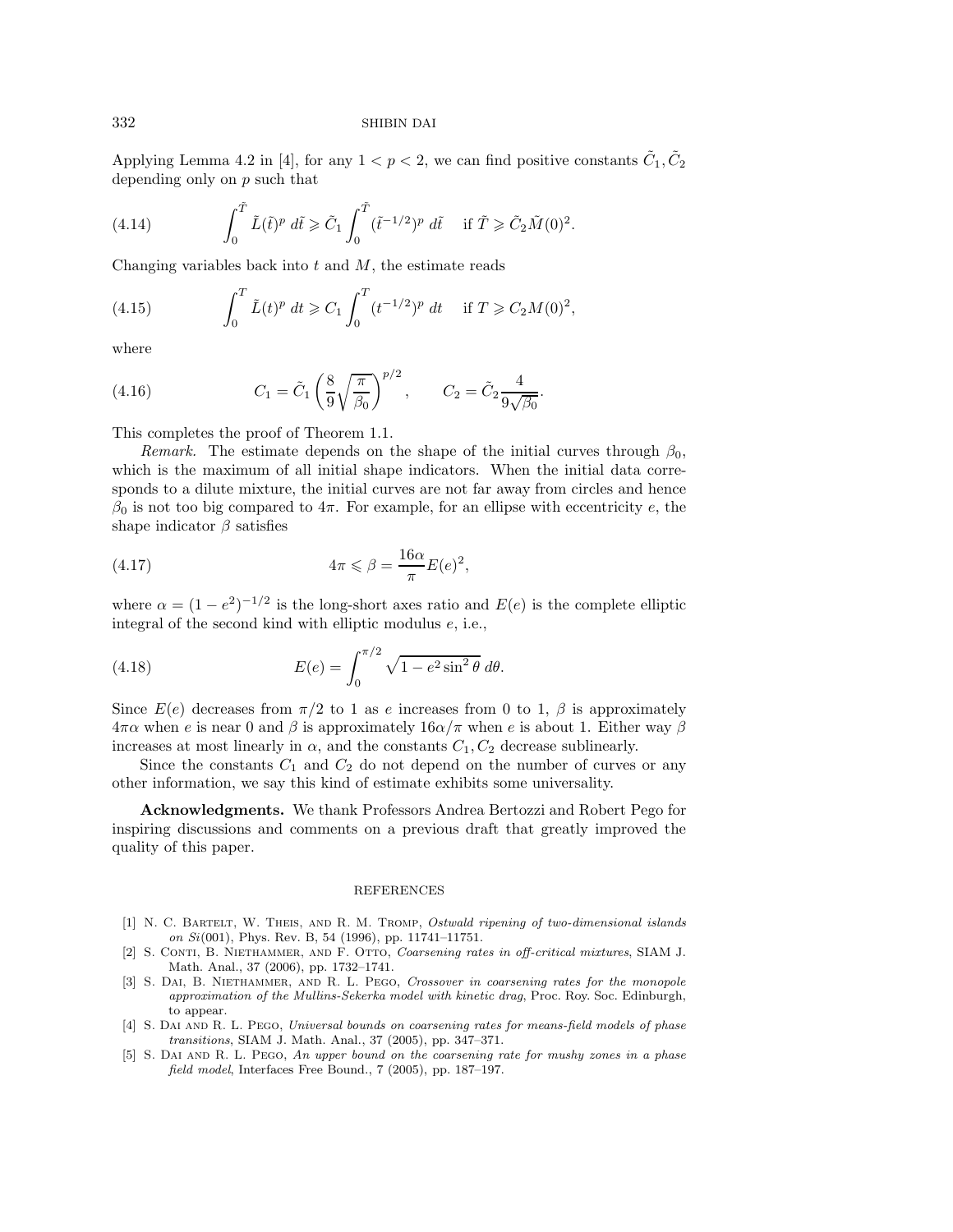Applying Lemma 4.2 in [4], for any  $1 < p < 2$ , we can find positive constants  $\tilde{C}_1, \tilde{C}_2$ depending only on  $p$  such that

(4.14) 
$$
\int_0^{\tilde{T}} \tilde{L}(\tilde{t})^p d\tilde{t} \geq \tilde{C}_1 \int_0^{\tilde{T}} (\tilde{t}^{-1/2})^p d\tilde{t} \quad \text{if } \tilde{T} \geq \tilde{C}_2 \tilde{M}(0)^2.
$$

Changing variables back into  $t$  and  $M$ , the estimate reads

(4.15) 
$$
\int_0^T \tilde{L}(t)^p dt \geqslant C_1 \int_0^T (t^{-1/2})^p dt \quad \text{if } T \geqslant C_2 M(0)^2,
$$

where

(4.16) 
$$
C_1 = \tilde{C}_1 \left( \frac{8}{9} \sqrt{\frac{\pi}{\beta_0}} \right)^{p/2}, \qquad C_2 = \tilde{C}_2 \frac{4}{9\sqrt{\beta_0}}.
$$

This completes the proof of Theorem 1.1.

*Remark.* The estimate depends on the shape of the initial curves through  $\beta_0$ , which is the maximum of all initial shape indicators. When the initial data corresponds to a dilute mixture, the initial curves are not far away from circles and hence  $β_0$  is not too big compared to  $4π$ . For example, for an ellipse with eccentricity e, the shape indicator  $\beta$  satisfies

(4.17) 
$$
4\pi \leqslant \beta = \frac{16\alpha}{\pi} E(e)^2,
$$

where  $\alpha = (1 - e^2)^{-1/2}$  is the long-short axes ratio and  $E(e)$  is the complete elliptic integral of the second kind with elliptic modulus e, i.e.,

(4.18) 
$$
E(e) = \int_0^{\pi/2} \sqrt{1 - e^2 \sin^2 \theta} \, d\theta.
$$

Since  $E(e)$  decreases from  $\pi/2$  to 1 as e increases from 0 to 1,  $\beta$  is approximately  $4\pi\alpha$  when e is near 0 and  $\beta$  is approximately  $16\alpha/\pi$  when e is about 1. Either way  $\beta$ increases at most linearly in  $\alpha$ , and the constants  $C_1, C_2$  decrease sublinearly.

Since the constants  $C_1$  and  $C_2$  do not depend on the number of curves or any other information, we say this kind of estimate exhibits some universality.

**Acknowledgments.** We thank Professors Andrea Bertozzi and Robert Pego for inspiring discussions and comments on a previous draft that greatly improved the quality of this paper.

## REFERENCES

- [1] N. C. Bartelt, W. Theis, and R. M. Tromp, Ostwald ripening of two-dimensional islands on Si(001), Phys. Rev. B, 54 (1996), pp. 11741–11751.
- [2] S. CONTI, B. NIETHAMMER, AND F. OTTO, Coarsening rates in off-critical mixtures, SIAM J. Math. Anal., 37 (2006), pp. 1732–1741.
- [3] S. DAI, B. NIETHAMMER, AND R. L. PEGO, Crossover in coarsening rates for the monopole approximation of the Mullins-Sekerka model with kinetic drag, Proc. Roy. Soc. Edinburgh, to appear.
- [4] S. DAI AND R. L. PEGO, Universal bounds on coarsening rates for means-field models of phase transitions, SIAM J. Math. Anal., 37 (2005), pp. 347–371.
- [5] S. Dai and R. L. Pego, An upper bound on the coarsening rate for mushy zones in a phase field model, Interfaces Free Bound., 7 (2005), pp. 187–197.